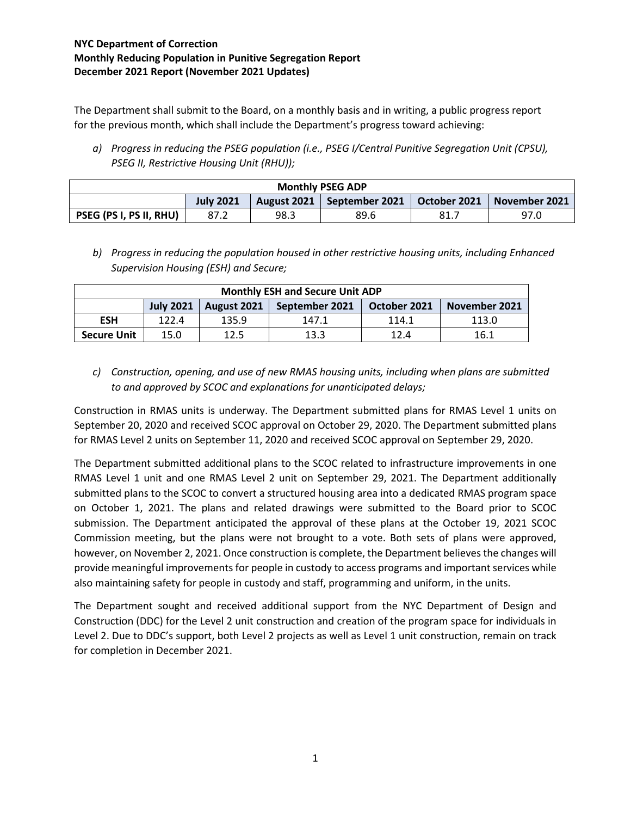The Department shall submit to the Board, on a monthly basis and in writing, a public progress report for the previous month, which shall include the Department's progress toward achieving:

*a) Progress in reducing the PSEG population (i.e., PSEG I/Central Punitive Segregation Unit (CPSU), PSEG II, Restrictive Housing Unit (RHU));*

| <b>Monthly PSEG ADP</b> |                  |      |                                             |     |               |
|-------------------------|------------------|------|---------------------------------------------|-----|---------------|
|                         | <b>July 2021</b> |      | August 2021   September 2021   October 2021 |     | November 2021 |
| PSEG (PS I, PS II, RHU) | 87.2             | 98.3 | 89.6                                        | 81. | 97.0          |

*b) Progress in reducing the population housed in other restrictive housing units, including Enhanced Supervision Housing (ESH) and Secure;*

| <b>Monthly ESH and Secure Unit ADP</b> |                  |             |                |              |               |
|----------------------------------------|------------------|-------------|----------------|--------------|---------------|
|                                        | <b>July 2021</b> | August 2021 | September 2021 | October 2021 | November 2021 |
| <b>ESH</b>                             | 122.4            | 135.9       | 147.1          | 114.1        | 113.0         |
| <b>Secure Unit</b>                     | 15.0             | 12.5        | 13.3           | 12.4         | 16.1          |

*c) Construction, opening, and use of new RMAS housing units, including when plans are submitted to and approved by SCOC and explanations for unanticipated delays;*

Construction in RMAS units is underway. The Department submitted plans for RMAS Level 1 units on September 20, 2020 and received SCOC approval on October 29, 2020. The Department submitted plans for RMAS Level 2 units on September 11, 2020 and received SCOC approval on September 29, 2020.

The Department submitted additional plans to the SCOC related to infrastructure improvements in one RMAS Level 1 unit and one RMAS Level 2 unit on September 29, 2021. The Department additionally submitted plans to the SCOC to convert a structured housing area into a dedicated RMAS program space on October 1, 2021. The plans and related drawings were submitted to the Board prior to SCOC submission. The Department anticipated the approval of these plans at the October 19, 2021 SCOC Commission meeting, but the plans were not brought to a vote. Both sets of plans were approved, however, on November 2, 2021. Once construction is complete, the Department believes the changes will provide meaningful improvements for people in custody to access programs and important services while also maintaining safety for people in custody and staff, programming and uniform, in the units.

The Department sought and received additional support from the NYC Department of Design and Construction (DDC) for the Level 2 unit construction and creation of the program space for individuals in Level 2. Due to DDC's support, both Level 2 projects as well as Level 1 unit construction, remain on track for completion in December 2021.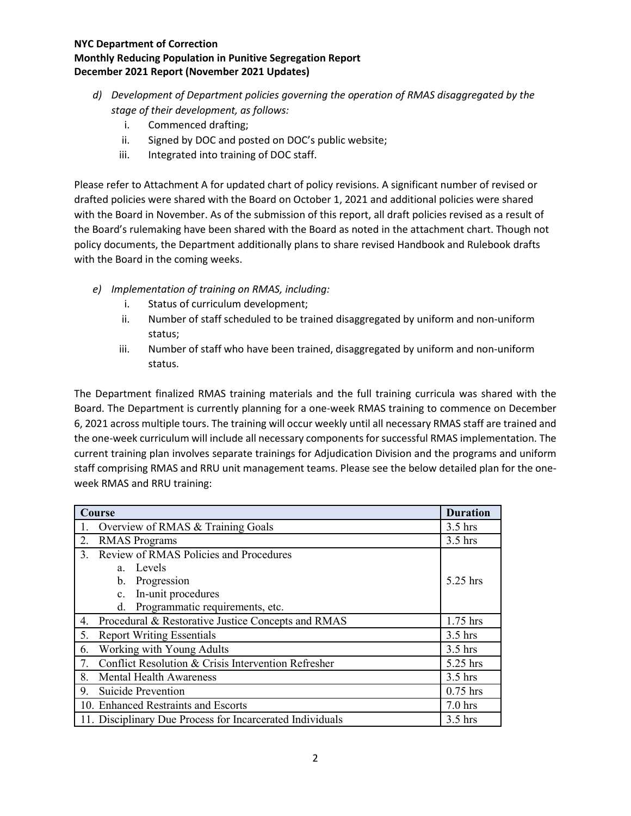- *d) Development of Department policies governing the operation of RMAS disaggregated by the stage of their development, as follows:*
	- i. Commenced drafting;
	- ii. Signed by DOC and posted on DOC's public website;
	- iii. Integrated into training of DOC staff.

Please refer to Attachment A for updated chart of policy revisions. A significant number of revised or drafted policies were shared with the Board on October 1, 2021 and additional policies were shared with the Board in November. As of the submission of this report, all draft policies revised as a result of the Board's rulemaking have been shared with the Board as noted in the attachment chart. Though not policy documents, the Department additionally plans to share revised Handbook and Rulebook drafts with the Board in the coming weeks.

- *e) Implementation of training on RMAS, including:*
	- i. Status of curriculum development;
	- ii. Number of staff scheduled to be trained disaggregated by uniform and non-uniform status;
	- iii. Number of staff who have been trained, disaggregated by uniform and non-uniform status.

The Department finalized RMAS training materials and the full training curricula was shared with the Board. The Department is currently planning for a one-week RMAS training to commence on December 6, 2021 across multiple tours. The training will occur weekly until all necessary RMAS staff are trained and the one-week curriculum will include all necessary components for successful RMAS implementation. The current training plan involves separate trainings for Adjudication Division and the programs and uniform staff comprising RMAS and RRU unit management teams. Please see the below detailed plan for the oneweek RMAS and RRU training:

| Course                                                                 |           |  |
|------------------------------------------------------------------------|-----------|--|
| Overview of RMAS & Training Goals                                      |           |  |
| 2.<br><b>RMAS</b> Programs                                             | $3.5$ hrs |  |
| Review of RMAS Policies and Procedures<br>$\mathbf{3}$ .               |           |  |
| a. Levels                                                              |           |  |
| b. Progression                                                         | 5.25 hrs  |  |
| In-unit procedures<br>c.                                               |           |  |
| Programmatic requirements, etc.<br>d.                                  |           |  |
| Procedural & Restorative Justice Concepts and RMAS<br>4.               | 1.75 hrs  |  |
| <b>Report Writing Essentials</b><br>5.                                 | $3.5$ hrs |  |
| Working with Young Adults<br>$3.5$ hrs<br>6.                           |           |  |
| Conflict Resolution & Crisis Intervention Refresher<br>5.25 hrs        |           |  |
| <b>Mental Health Awareness</b><br>8.                                   | $3.5$ hrs |  |
| Suicide Prevention<br>$0.75$ hrs<br>9.                                 |           |  |
| 10. Enhanced Restraints and Escorts<br>$7.0$ hrs                       |           |  |
| 11. Disciplinary Due Process for Incarcerated Individuals<br>$3.5$ hrs |           |  |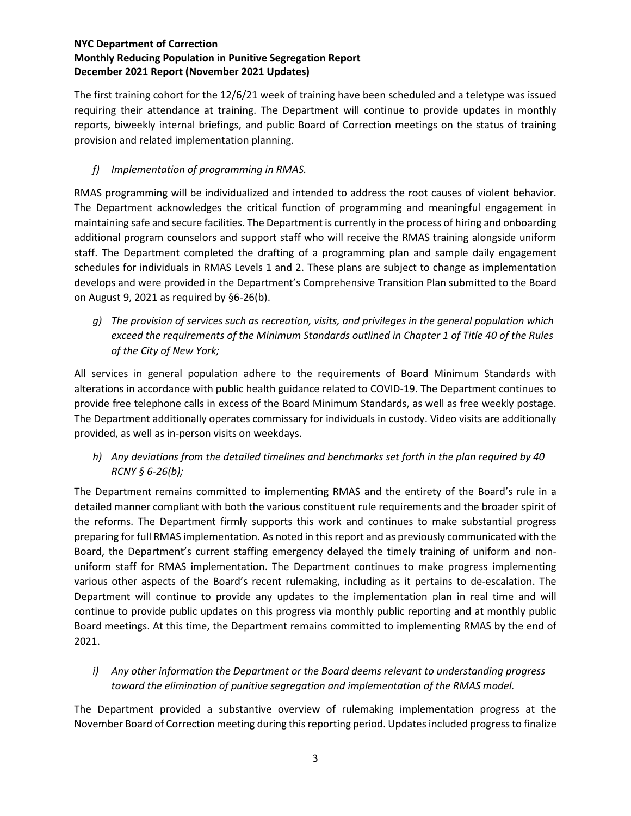The first training cohort for the 12/6/21 week of training have been scheduled and a teletype was issued requiring their attendance at training. The Department will continue to provide updates in monthly reports, biweekly internal briefings, and public Board of Correction meetings on the status of training provision and related implementation planning.

### *f) Implementation of programming in RMAS.*

RMAS programming will be individualized and intended to address the root causes of violent behavior. The Department acknowledges the critical function of programming and meaningful engagement in maintaining safe and secure facilities. The Department is currently in the process of hiring and onboarding additional program counselors and support staff who will receive the RMAS training alongside uniform staff. The Department completed the drafting of a programming plan and sample daily engagement schedules for individuals in RMAS Levels 1 and 2. These plans are subject to change as implementation develops and were provided in the Department's Comprehensive Transition Plan submitted to the Board on August 9, 2021 as required by §6-26(b).

*g) The provision of services such as recreation, visits, and privileges in the general population which exceed the requirements of the Minimum Standards outlined in Chapter 1 of Title 40 of the Rules of the City of New York;*

All services in general population adhere to the requirements of Board Minimum Standards with alterations in accordance with public health guidance related to COVID-19. The Department continues to provide free telephone calls in excess of the Board Minimum Standards, as well as free weekly postage. The Department additionally operates commissary for individuals in custody. Video visits are additionally provided, as well as in-person visits on weekdays.

*h) Any deviations from the detailed timelines and benchmarks set forth in the plan required by 40 RCNY § 6-26(b);*

The Department remains committed to implementing RMAS and the entirety of the Board's rule in a detailed manner compliant with both the various constituent rule requirements and the broader spirit of the reforms. The Department firmly supports this work and continues to make substantial progress preparing for full RMAS implementation. As noted in this report and as previously communicated with the Board, the Department's current staffing emergency delayed the timely training of uniform and nonuniform staff for RMAS implementation. The Department continues to make progress implementing various other aspects of the Board's recent rulemaking, including as it pertains to de-escalation. The Department will continue to provide any updates to the implementation plan in real time and will continue to provide public updates on this progress via monthly public reporting and at monthly public Board meetings. At this time, the Department remains committed to implementing RMAS by the end of 2021.

*i) Any other information the Department or the Board deems relevant to understanding progress toward the elimination of punitive segregation and implementation of the RMAS model.*

The Department provided a substantive overview of rulemaking implementation progress at the November Board of Correction meeting during this reporting period. Updates included progress to finalize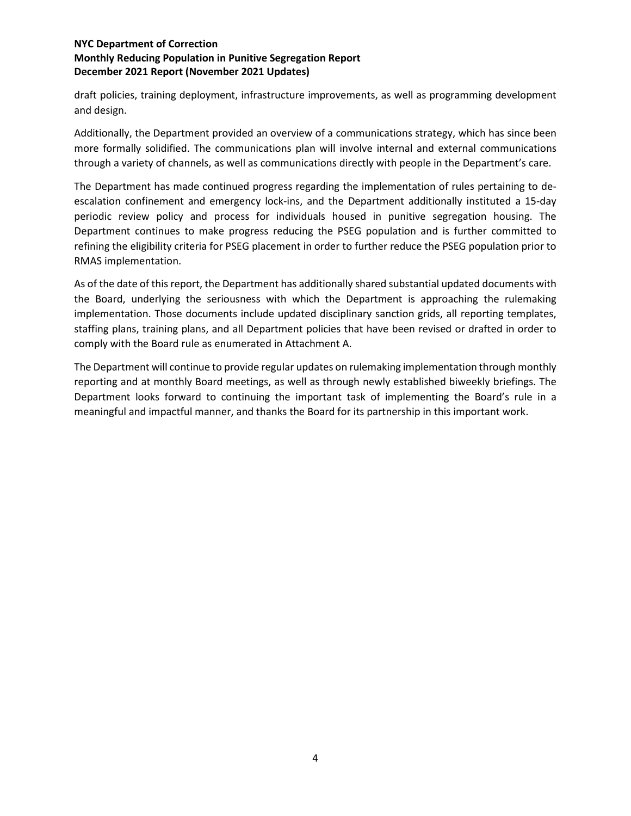draft policies, training deployment, infrastructure improvements, as well as programming development and design.

Additionally, the Department provided an overview of a communications strategy, which has since been more formally solidified. The communications plan will involve internal and external communications through a variety of channels, as well as communications directly with people in the Department's care.

The Department has made continued progress regarding the implementation of rules pertaining to deescalation confinement and emergency lock-ins, and the Department additionally instituted a 15-day periodic review policy and process for individuals housed in punitive segregation housing. The Department continues to make progress reducing the PSEG population and is further committed to refining the eligibility criteria for PSEG placement in order to further reduce the PSEG population prior to RMAS implementation.

As of the date of this report, the Department has additionally shared substantial updated documents with the Board, underlying the seriousness with which the Department is approaching the rulemaking implementation. Those documents include updated disciplinary sanction grids, all reporting templates, staffing plans, training plans, and all Department policies that have been revised or drafted in order to comply with the Board rule as enumerated in Attachment A.

The Department will continue to provide regular updates on rulemaking implementation through monthly reporting and at monthly Board meetings, as well as through newly established biweekly briefings. The Department looks forward to continuing the important task of implementing the Board's rule in a meaningful and impactful manner, and thanks the Board for its partnership in this important work.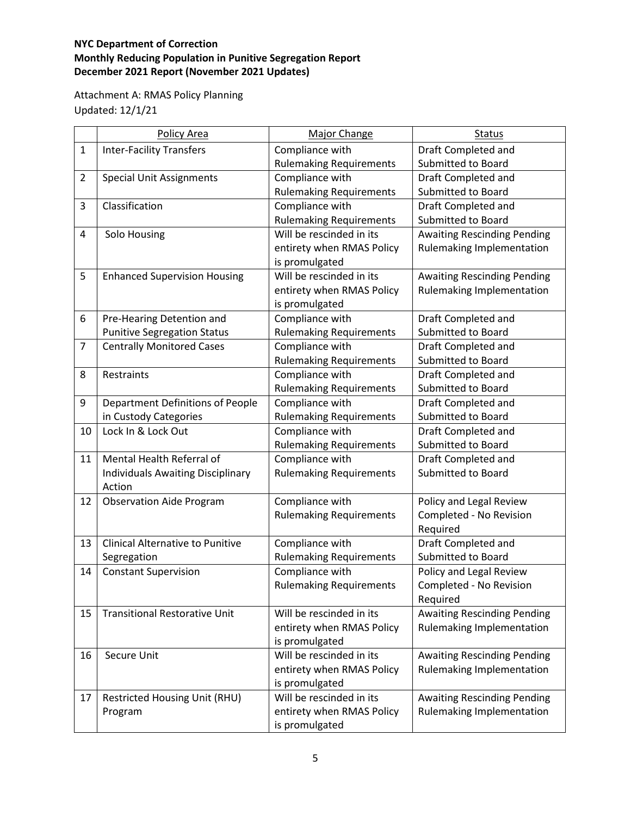Attachment A: RMAS Policy Planning Updated: 12/1/21

|                | <b>Policy Area</b>                                     | <b>Major Change</b>                               | <b>Status</b>                                    |
|----------------|--------------------------------------------------------|---------------------------------------------------|--------------------------------------------------|
| $\mathbf{1}$   | <b>Inter-Facility Transfers</b>                        | Compliance with                                   | Draft Completed and                              |
|                |                                                        | <b>Rulemaking Requirements</b>                    | <b>Submitted to Board</b>                        |
| $\overline{2}$ | <b>Special Unit Assignments</b>                        | Compliance with                                   | Draft Completed and                              |
|                |                                                        | <b>Rulemaking Requirements</b>                    | Submitted to Board                               |
| 3              | Classification                                         | Compliance with                                   | Draft Completed and                              |
|                |                                                        | <b>Rulemaking Requirements</b>                    | Submitted to Board                               |
| $\overline{4}$ | Solo Housing                                           | Will be rescinded in its                          | <b>Awaiting Rescinding Pending</b>               |
|                |                                                        | entirety when RMAS Policy                         | Rulemaking Implementation                        |
|                |                                                        | is promulgated                                    |                                                  |
| 5              | <b>Enhanced Supervision Housing</b>                    | Will be rescinded in its                          | <b>Awaiting Rescinding Pending</b>               |
|                |                                                        | entirety when RMAS Policy                         | Rulemaking Implementation                        |
|                |                                                        | is promulgated                                    |                                                  |
| 6              | Pre-Hearing Detention and                              | Compliance with                                   | Draft Completed and                              |
|                | <b>Punitive Segregation Status</b>                     | <b>Rulemaking Requirements</b>                    | <b>Submitted to Board</b>                        |
| $\overline{7}$ | <b>Centrally Monitored Cases</b>                       | Compliance with                                   | Draft Completed and                              |
|                |                                                        | <b>Rulemaking Requirements</b>                    | <b>Submitted to Board</b>                        |
| 8              | Restraints                                             | Compliance with                                   | Draft Completed and                              |
|                |                                                        | <b>Rulemaking Requirements</b>                    | Submitted to Board                               |
| 9              | <b>Department Definitions of People</b>                | Compliance with                                   | Draft Completed and                              |
|                | in Custody Categories                                  | <b>Rulemaking Requirements</b>                    | <b>Submitted to Board</b>                        |
| 10             | Lock In & Lock Out                                     | Compliance with                                   | Draft Completed and                              |
|                |                                                        | <b>Rulemaking Requirements</b>                    | Submitted to Board                               |
| 11             | Mental Health Referral of                              | Compliance with                                   | Draft Completed and                              |
|                | <b>Individuals Awaiting Disciplinary</b>               | <b>Rulemaking Requirements</b>                    | Submitted to Board                               |
|                | Action                                                 |                                                   |                                                  |
| 12             | <b>Observation Aide Program</b>                        | Compliance with                                   | Policy and Legal Review                          |
|                |                                                        | <b>Rulemaking Requirements</b>                    | Completed - No Revision                          |
|                |                                                        |                                                   | Required                                         |
| 13             | <b>Clinical Alternative to Punitive</b><br>Segregation | Compliance with                                   | Draft Completed and<br><b>Submitted to Board</b> |
| 14             | <b>Constant Supervision</b>                            | <b>Rulemaking Requirements</b><br>Compliance with | Policy and Legal Review                          |
|                |                                                        | <b>Rulemaking Requirements</b>                    | Completed - No Revision                          |
|                |                                                        |                                                   | Required                                         |
| 15             | <b>Transitional Restorative Unit</b>                   | Will be rescinded in its                          | <b>Awaiting Rescinding Pending</b>               |
|                |                                                        | entirety when RMAS Policy                         | Rulemaking Implementation                        |
|                |                                                        | is promulgated                                    |                                                  |
| 16             | Secure Unit                                            | Will be rescinded in its                          | <b>Awaiting Rescinding Pending</b>               |
|                |                                                        | entirety when RMAS Policy                         | Rulemaking Implementation                        |
|                |                                                        | is promulgated                                    |                                                  |
| 17             | <b>Restricted Housing Unit (RHU)</b>                   | Will be rescinded in its                          | <b>Awaiting Rescinding Pending</b>               |
|                | Program                                                | entirety when RMAS Policy                         | Rulemaking Implementation                        |
|                |                                                        | is promulgated                                    |                                                  |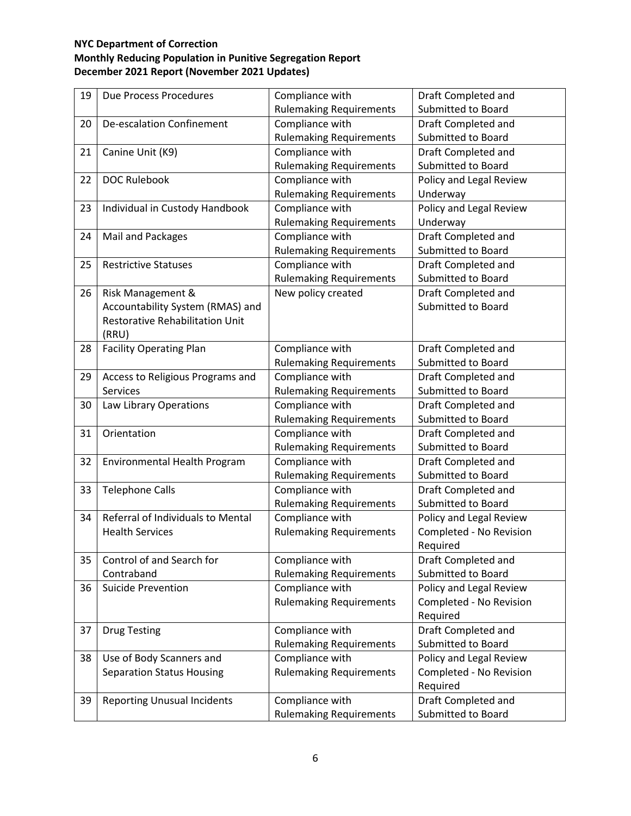| 19 | Due Process Procedures                 | Compliance with                | Draft Completed and       |
|----|----------------------------------------|--------------------------------|---------------------------|
|    |                                        | <b>Rulemaking Requirements</b> | <b>Submitted to Board</b> |
| 20 | <b>De-escalation Confinement</b>       | Compliance with                | Draft Completed and       |
|    |                                        | <b>Rulemaking Requirements</b> | Submitted to Board        |
| 21 | Canine Unit (K9)                       | Compliance with                | Draft Completed and       |
|    |                                        | <b>Rulemaking Requirements</b> | Submitted to Board        |
| 22 | <b>DOC Rulebook</b>                    | Compliance with                | Policy and Legal Review   |
|    |                                        | <b>Rulemaking Requirements</b> | Underway                  |
| 23 | Individual in Custody Handbook         | Compliance with                | Policy and Legal Review   |
|    |                                        | <b>Rulemaking Requirements</b> | Underway                  |
| 24 | Mail and Packages                      | Compliance with                | Draft Completed and       |
|    |                                        | <b>Rulemaking Requirements</b> | Submitted to Board        |
| 25 | <b>Restrictive Statuses</b>            | Compliance with                | Draft Completed and       |
|    |                                        | <b>Rulemaking Requirements</b> | Submitted to Board        |
| 26 | Risk Management &                      | New policy created             | Draft Completed and       |
|    | Accountability System (RMAS) and       |                                | <b>Submitted to Board</b> |
|    | <b>Restorative Rehabilitation Unit</b> |                                |                           |
|    | (RRU)                                  |                                |                           |
| 28 | <b>Facility Operating Plan</b>         | Compliance with                | Draft Completed and       |
|    |                                        | <b>Rulemaking Requirements</b> | Submitted to Board        |
| 29 | Access to Religious Programs and       | Compliance with                | Draft Completed and       |
|    | <b>Services</b>                        | <b>Rulemaking Requirements</b> | Submitted to Board        |
| 30 | Law Library Operations                 | Compliance with                | Draft Completed and       |
|    |                                        | <b>Rulemaking Requirements</b> | Submitted to Board        |
| 31 | Orientation                            | Compliance with                | Draft Completed and       |
|    |                                        | <b>Rulemaking Requirements</b> | Submitted to Board        |
| 32 | Environmental Health Program           | Compliance with                | Draft Completed and       |
|    |                                        | <b>Rulemaking Requirements</b> | Submitted to Board        |
| 33 | <b>Telephone Calls</b>                 | Compliance with                | Draft Completed and       |
|    |                                        | <b>Rulemaking Requirements</b> | Submitted to Board        |
| 34 | Referral of Individuals to Mental      | Compliance with                | Policy and Legal Review   |
|    | <b>Health Services</b>                 | <b>Rulemaking Requirements</b> | Completed - No Revision   |
|    |                                        |                                | Required                  |
| 35 | Control of and Search for              | Compliance with                | Draft Completed and       |
|    | Contraband                             | <b>Rulemaking Requirements</b> | Submitted to Board        |
| 36 | <b>Suicide Prevention</b>              | Compliance with                | Policy and Legal Review   |
|    |                                        | <b>Rulemaking Requirements</b> | Completed - No Revision   |
|    |                                        |                                | Required                  |
| 37 | <b>Drug Testing</b>                    | Compliance with                | Draft Completed and       |
|    |                                        | <b>Rulemaking Requirements</b> | Submitted to Board        |
| 38 | Use of Body Scanners and               | Compliance with                | Policy and Legal Review   |
|    | <b>Separation Status Housing</b>       | <b>Rulemaking Requirements</b> | Completed - No Revision   |
|    |                                        |                                | Required                  |
| 39 | <b>Reporting Unusual Incidents</b>     | Compliance with                | Draft Completed and       |
|    |                                        | <b>Rulemaking Requirements</b> | Submitted to Board        |